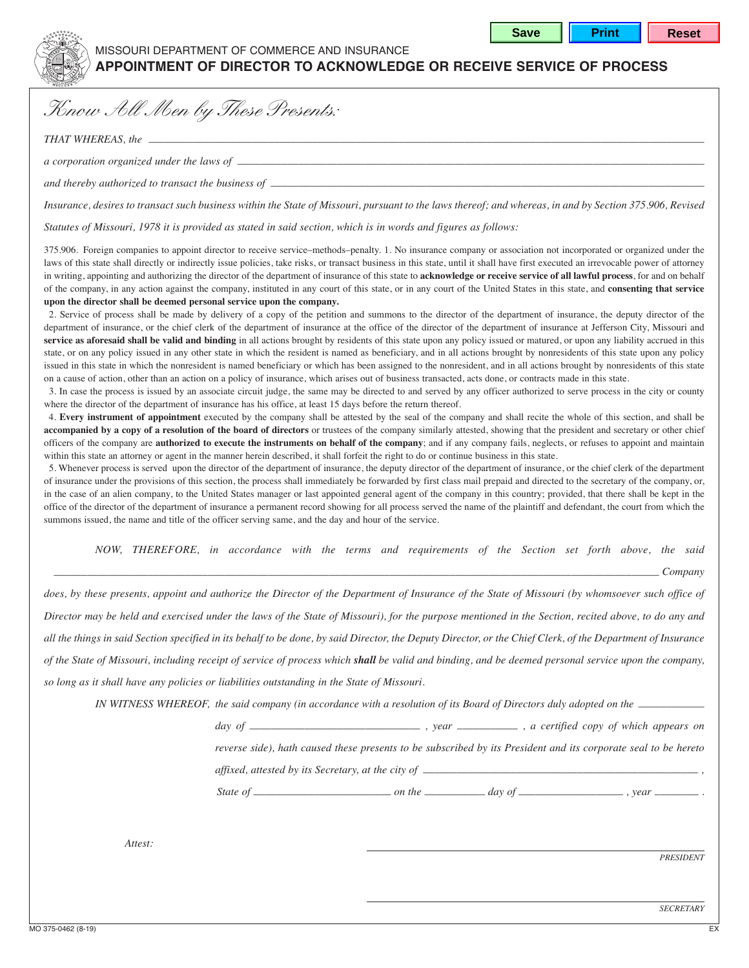

## missouri department of commerce and insurance

## **APPOINTMENT OF DIRECTOR TO ACKNOWLEDGE OR RECEIVE SERVICE OF PROCESS**

*Know All Men by These Presents:*

*THAT WHEREAS, the \_\_\_\_\_\_\_\_\_\_\_\_\_\_\_\_\_\_\_\_\_\_\_\_\_\_\_\_\_\_\_\_\_\_\_\_\_\_\_\_\_\_\_\_\_\_\_\_\_\_\_\_\_\_\_\_\_\_\_\_\_\_\_\_\_\_\_\_\_\_\_\_\_\_\_\_\_\_\_\_\_\_\_\_\_\_\_\_\_\_\_\_\_\_\_\_\_\_\_\_\_\_*

*a corporation organized under the laws of \_\_\_\_\_\_\_\_\_\_\_\_\_\_\_\_\_\_\_\_\_\_\_\_\_\_\_\_\_\_\_\_\_\_\_\_\_\_\_\_\_\_\_\_\_\_\_\_\_\_\_\_\_\_\_\_\_\_\_\_\_\_\_\_\_\_\_\_\_\_\_\_\_\_\_\_\_\_\_\_\_\_\_\_*

*and thereby authorized to transact the business of \_\_\_\_\_\_\_\_\_\_\_\_\_\_\_\_\_\_\_\_\_\_\_\_\_\_\_\_\_\_\_\_\_\_\_\_\_\_\_\_\_\_\_\_\_\_\_\_\_\_\_\_\_\_\_\_\_\_\_\_\_\_\_\_\_\_\_\_\_\_\_\_\_\_\_\_\_\_*

*Insurance, desires to transact such business within the State of Missouri, pursuant to the laws thereof; and whereas, in and by Section 375.906, Revised*

*Statutes of Missouri, 1978 it is provided as stated in said section, which is in words and figures as follows:*

375.906. Foreign companies to appoint director to receive service–methods–penalty. 1. No insurance company or association not incorporated or organized under the laws of this state shall directly or indirectly issue policies, take risks, or transact business in this state, until it shall have first executed an irrevocable power of attorney in writing, appointing and authorizing the director of the department of insurance of this state to **acknowledge or receive service of all lawful process**, for and on behalf of the company, in any action against the company, instituted in any court of this state, or in any court of the United States in this state, and **consenting that service upon the director shall be deemed personal service upon the company.**

2. Service of process shall be made by delivery of a copy of the petition and summons to the director of the department of insurance, the deputy director of the department of insurance, or the chief clerk of the department of insurance at the office of the director of the department of insurance at Jefferson City, Missouri and **service as aforesaid shall be valid and binding** in all actions brought by residents of this state upon any policy issued or matured, or upon any liability accrued in this state, or on any policy issued in any other state in which the resident is named as beneficiary, and in all actions brought by nonresidents of this state upon any policy issued in this state in which the nonresident is named beneficiary or which has been assigned to the nonresident, and in all actions brought by nonresidents of this state on a cause of action, other than an action on a policy of insurance, which arises out of business transacted, acts done, or contracts made in this state.

3. In case the process is issued by an associate circuit judge, the same may be directed to and served by any officer authorized to serve process in the city or county where the director of the department of insurance has his office, at least 15 days before the return thereof.

4. **Every instrument of appointment** executed by the company shall be attested by the seal of the company and shall recite the whole of this section, and shall be accompanied by a copy of a resolution of the board of directors or trustees of the company similarly attested, showing that the president and secretary or other chief officers of the company are **authorized to execute the instruments on behalf of the company**; and if any company fails, neglects, or refuses to appoint and maintain within this state an attorney or agent in the manner herein described, it shall forfeit the right to do or continue business in this state.

5. Whenever process is served upon the director of the department of insurance, the deputy director of the department of insurance, or the chief clerk of the department of insurance under the provisions of this section, the process shall immediately be forwarded by first class mail prepaid and directed to the secretary of the company, or, in the case of an alien company, to the United States manager or last appointed general agent of the company in this country; provided, that there shall be kept in the office of the director of the department of insurance a permanent record showing for all process served the name of the plaintiff and defendant, the court from which the summons issued, the name and title of the officer serving same, and the day and hour of the service.

 *NOW, THEREFORE, in accordance with the terms and requirements of the Section set forth above, the said*

*\_\_\_\_\_\_\_\_\_\_\_\_\_\_\_\_\_\_\_\_\_\_\_\_\_\_\_\_\_\_\_\_\_\_\_\_\_\_\_\_\_\_\_\_\_\_\_\_\_\_\_\_\_\_\_\_\_\_\_\_\_\_\_\_\_\_\_\_\_\_\_\_\_\_\_\_\_\_\_\_\_\_\_\_\_\_\_\_\_\_\_\_\_\_\_\_\_\_\_\_\_\_\_\_\_\_\_\_\_\_ Company*

*does, by these presents, appoint and authorize the Director of the Department of Insurance of the State of Missouri (by whomsoever such office of Director may be held and exercised under the laws of the State of Missouri), for the purpose mentioned in the Section, recited above, to do any and all the things in said Section specified in its behalf to be done, by said Director, the Deputy Director, or the Chief Clerk, of the Department of Insurance of the State of Missouri, including receipt of service of process which shall be valid and binding, and be deemed personal service upon the company, so long as it shall have any policies or liabilities outstanding in the State of Missouri.*

*IN WITNESS WHEREOF, the said company (in accordance with a resolution of its Board of Directors duly adopted on the* 

*day of \_\_\_\_\_\_\_\_\_\_\_\_\_\_\_\_\_\_\_\_\_\_\_\_\_\_\_\_\_\_\_ , year \_\_\_\_\_\_\_\_\_\_\_ , a certified copy of which appears on*

*reverse side), hath caused these presents to be subscribed by its President and its corporate seal to be hereto*

*affixed, attested by its Secretary, at the city of \_\_\_\_\_\_\_\_\_\_\_\_\_\_\_\_\_\_\_\_\_\_\_\_\_\_\_\_\_\_\_\_\_\_\_\_\_\_\_\_\_\_\_\_\_\_\_\_\_\_ ,* 

*State of \_\_\_\_\_\_\_\_\_\_\_\_\_\_\_\_\_\_\_\_\_\_\_\_\_ on the \_\_\_\_\_\_\_\_\_\_\_ day of \_\_\_\_\_\_\_\_\_\_\_\_\_\_\_\_\_\_\_ , year \_\_\_\_\_\_\_\_ .*

 *Attest:*

*PRESIDENT*

*SECRETARY*